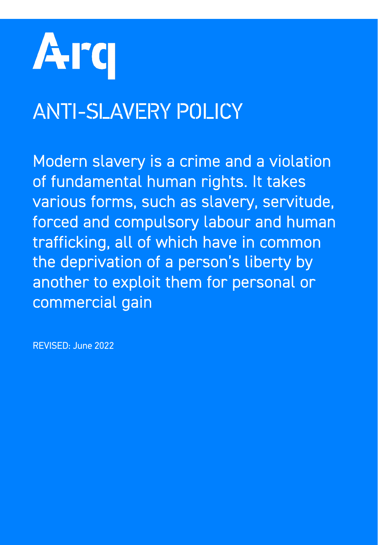

# ANTI-SLAVERY POLICY

Modern slavery is a crime and a violation of fundamental human rights. It takes various forms, such as slavery, servitude, forced and compulsory labour and human trafficking, all of which have in common the deprivation of a person's liberty by another to exploit them for personal or commercial gain

REVISED: June 2022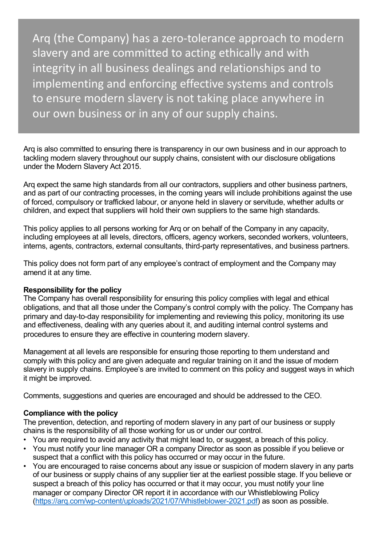Arq (the Company) has a zero-tolerance approach to modern slavery and are committed to acting ethically and with integrity in all business dealings and relationships and to implementing and enforcing effective systems and controls to ensure modern slavery is not taking place anywhere in our own business or in any of our supply chains.

Arq is also committed to ensuring there is transparency in our own business and in our approach to tackling modern slavery throughout our supply chains, consistent with our disclosure obligations under the Modern Slavery Act 2015.

Arq expect the same high standards from all our contractors, suppliers and other business partners, and as part of our contracting processes, in the coming years will include prohibitions against the use of forced, compulsory or trafficked labour, or anyone held in slavery or servitude, whether adults or children, and expect that suppliers will hold their own suppliers to the same high standards.

This policy applies to all persons working for Arq or on behalf of the Company in any capacity, including employees at all levels, directors, officers, agency workers, seconded workers, volunteers, interns, agents, contractors, external consultants, third-party representatives, and business partners.

This policy does not form part of any employee's contract of employment and the Company may amend it at any time.

### **Responsibility for the policy**

The Company has overall responsibility for ensuring this policy complies with legal and ethical obligations, and that all those under the Company's control comply with the policy. The Company has primary and day-to-day responsibility for implementing and reviewing this policy, monitoring its use and effectiveness, dealing with any queries about it, and auditing internal control systems and procedures to ensure they are effective in countering modern slavery.

Management at all levels are responsible for ensuring those reporting to them understand and comply with this policy and are given adequate and regular training on it and the issue of modern slavery in supply chains. Employee's are invited to comment on this policy and suggest ways in which it might be improved.

Comments, suggestions and queries are encouraged and should be addressed to the CEO.

## **Compliance with the policy**

The prevention, detection, and reporting of modern slavery in any part of our business or supply chains is the responsibility of all those working for us or under our control.

- You are required to avoid any activity that might lead to, or suggest, a breach of this policy.
- You must notify your line manager OR a company Director as soon as possible if you believe or suspect that a conflict with this policy has occurred or may occur in the future.
- You are encouraged to raise concerns about any issue or suspicion of modern slavery in any parts of our business or supply chains of any supplier tier at the earliest possible stage. If you believe or suspect a breach of this policy has occurred or that it may occur, you must notify your line [manager or company Director OR report it in accordance with our Wh](https://arq.com/wp-content/uploads/2021/07/Whistleblower-2021.pdf)istleblowing Policy (https://arq.com/wp-content/uploads/2021/07/Whistleblower-2021.pdf) as soon as possible.